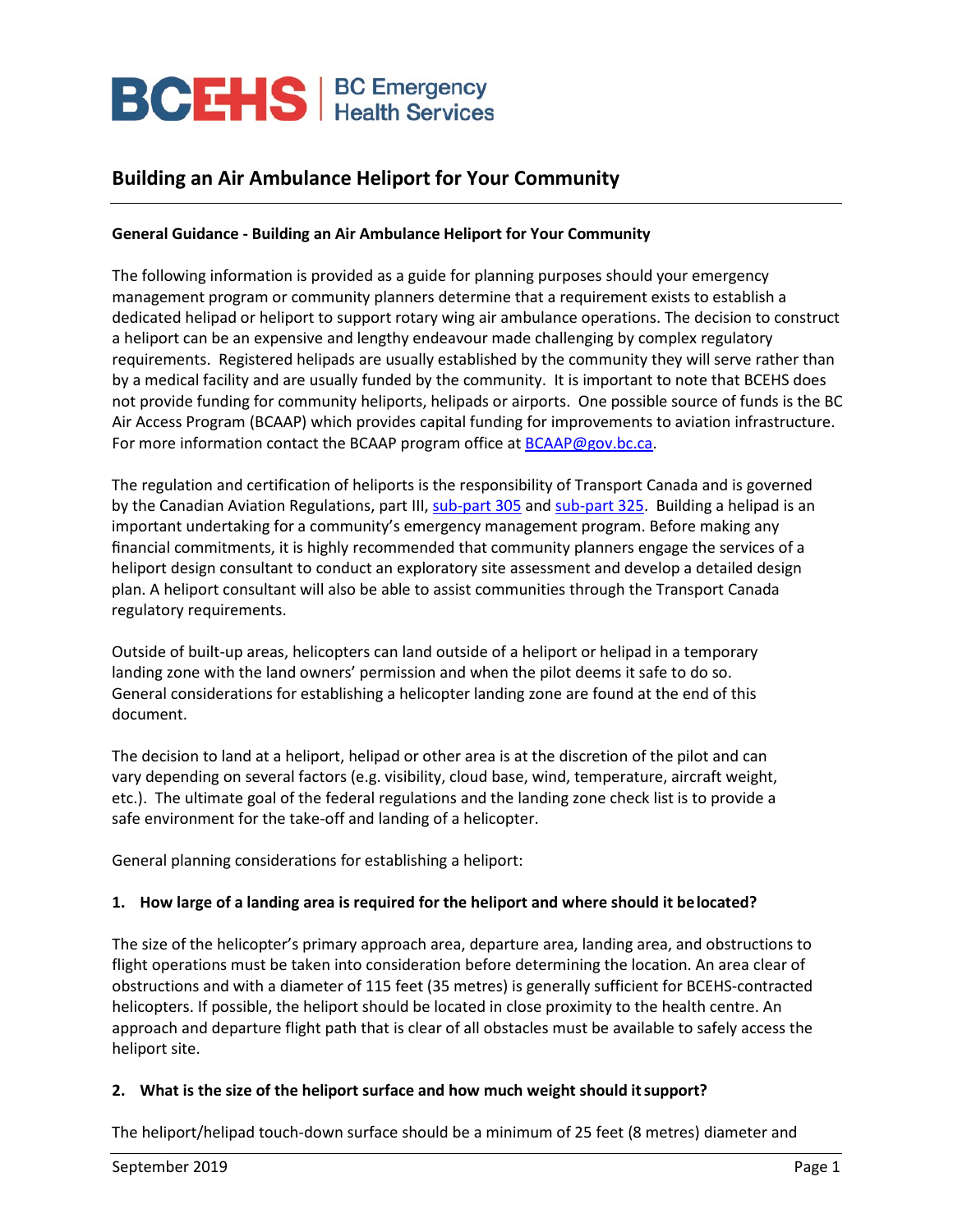# **BCEHS** | BC Emergency

## **Building an Air Ambulance Heliport for Your Community**

## **General Guidance - Building an Air Ambulance Heliport for Your Community**

The following information is provided as a guide for planning purposes should your emergency management program or community planners determine that a requirement exists to establish a dedicated helipad or heliport to support rotary wing air ambulance operations. The decision to construct a heliport can be an expensive and lengthy endeavour made challenging by complex regulatory requirements. Registered helipads are usually established by the community they will serve rather than by a medical facility and are usually funded by the community. It is important to note that BCEHS does not provide funding for community heliports, helipads or airports. One possible source of funds is the BC Air Access Program (BCAAP) which provides capital funding for improvements to aviation infrastructure. For more information contact the BCAAP program office a[t BCAAP@gov.bc.ca.](mailto:BCAAP@gov.bc.ca)

The regulation and certification of heliports is the responsibility of Transport Canada and is governed by the Canadian Aviation Regulations, part III, [sub-part](https://lois-laws.justice.gc.ca/eng/regulations/SOR-96-433/page-34.html#h-989533) 305 and [sub-part](https://www.tc.gc.ca/eng/civilaviation/regserv/cars/part3-standards-325-menu-1026.htm?wbdisable=true) 325. Building a helipad is an important undertaking for a community's emergency management program. Before making any financial commitments, it is highly recommended that community planners engage the services of a heliport design consultant to conduct an exploratory site assessment and develop a detailed design plan. A heliport consultant will also be able to assist communities through the Transport Canada regulatory requirements.

Outside of built-up areas, helicopters can land outside of a heliport or helipad in a temporary landing zone with the land owners' permission and when the pilot deems it safe to do so. General considerations for establishing a helicopter landing zone are found at the end of this document.

The decision to land at a heliport, helipad or other area is at the discretion of the pilot and can vary depending on several factors (e.g. visibility, cloud base, wind, temperature, aircraft weight, etc.). The ultimate goal of the federal regulations and the landing zone check list is to provide a safe environment for the take-off and landing of a helicopter.

General planning considerations for establishing a heliport:

## **1. How large of a landing area is required for the heliport and where should it belocated?**

The size of the helicopter's primary approach area, departure area, landing area, and obstructions to flight operations must be taken into consideration before determining the location. An area clear of obstructions and with a diameter of 115 feet (35 metres) is generally sufficient for BCEHS-contracted helicopters. If possible, the heliport should be located in close proximity to the health centre. An approach and departure flight path that is clear of all obstacles must be available to safely access the heliport site.

## **2. What is the size of the heliport surface and how much weight should itsupport?**

The heliport/helipad touch-down surface should be a minimum of 25 feet (8 metres) diameter and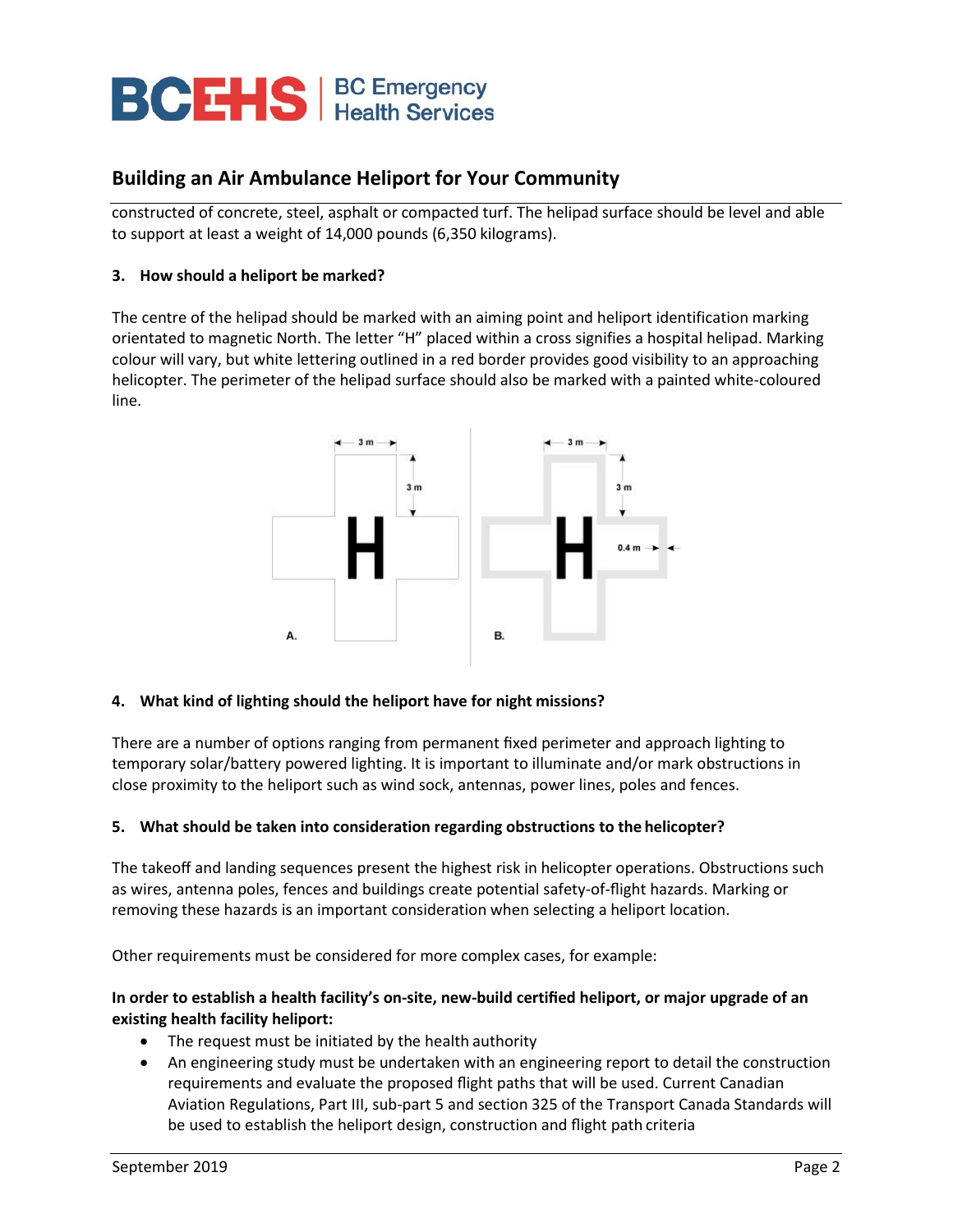## **BCEHS** | BC Emergency

## **Building an Air Ambulance Heliport for Your Community**

constructed of concrete, steel, asphalt or compacted turf. The helipad surface should be level and able to support at least a weight of 14,000 pounds (6,350 kilograms).

## **3. How should a heliport be marked?**

The centre of the helipad should be marked with an aiming point and heliport identification marking orientated to magnetic North. The letter "H" placed within a cross signifies a hospital helipad. Marking colour will vary, but white lettering outlined in a red border provides good visibility to an approaching helicopter. The perimeter of the helipad surface should also be marked with a painted white-coloured line.



## **4. What kind of lighting should the heliport have for night missions?**

There are a number of options ranging from permanent fixed perimeter and approach lighting to temporary solar/battery powered lighting. It is important to illuminate and/or mark obstructions in close proximity to the heliport such as wind sock, antennas, power lines, poles and fences.

## **5. What should be taken into consideration regarding obstructions to the helicopter?**

The takeoff and landing sequences present the highest risk in helicopter operations. Obstructions such as wires, antenna poles, fences and buildings create potential safety-of-flight hazards. Marking or removing these hazards is an important consideration when selecting a heliport location.

Other requirements must be considered for more complex cases, for example:

## **In order to establish a health facility's on-site, new-build certified heliport, or major upgrade of an existing health facility heliport:**

- The request must be initiated by the health authority
- An engineering study must be undertaken with an engineering report to detail the construction requirements and evaluate the proposed flight paths that will be used. Current Canadian Aviation Regulations, Part III, sub-part 5 and section 325 of the Transport Canada Standards will be used to establish the heliport design, construction and flight path criteria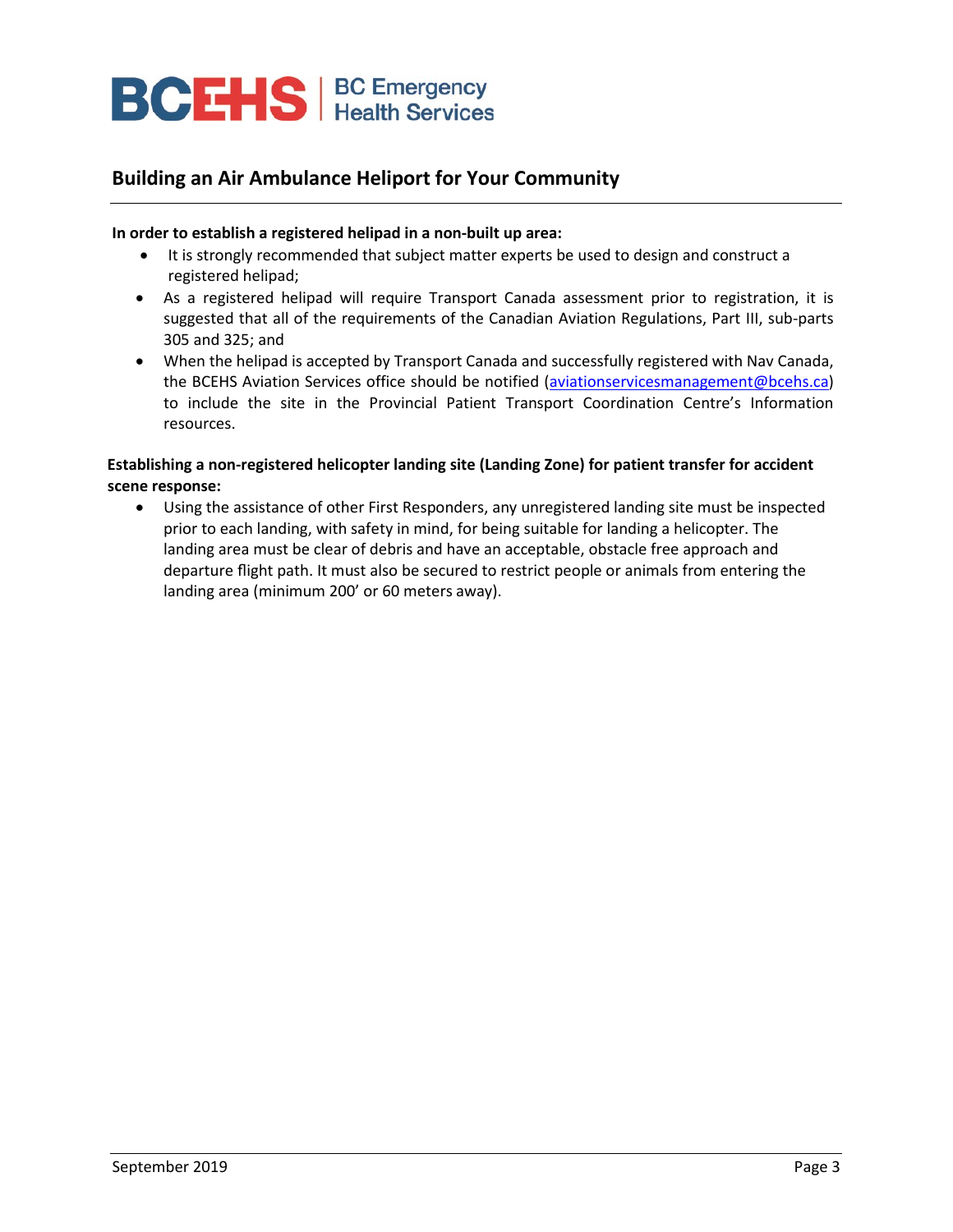## **BCEHS** | BC Emergency

## **Building an Air Ambulance Heliport for Your Community**

## **In order to establish a registered helipad in a non-built up area:**

- It is strongly recommended that subject matter experts be used to design and construct a registered helipad;
- As a registered helipad will require Transport Canada assessment prior to registration, it is suggested that all of the requirements of the Canadian Aviation Regulations, Part III, sub-parts 305 and 325; and
- When the helipad is accepted by Transport Canada and successfully registered with Nav Canada, the BCEHS Aviation Services office should be notified [\(aviationservicesmanagement@bcehs.ca\)](mailto:aviationservicesmanagement@bcehs.ca) to include the site in the Provincial Patient Transport Coordination Centre's Information resources.

## **Establishing a non-registered helicopter landing site (Landing Zone) for patient transfer for accident scene response:**

• Using the assistance of other First Responders, any unregistered landing site must be inspected prior to each landing, with safety in mind, for being suitable for landing a helicopter. The landing area must be clear of debris and have an acceptable, obstacle free approach and departure flight path. It must also be secured to restrict people or animals from entering the landing area (minimum 200' or 60 meters away).